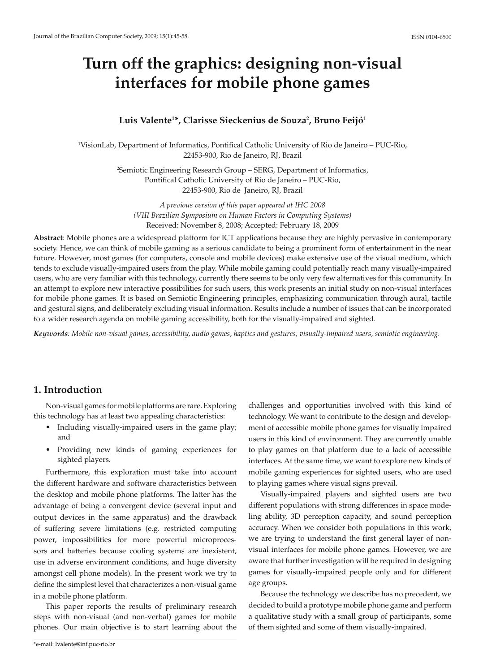# **Turn off the graphics: designing non-visual interfaces for mobile phone games**

# **Luis Valente1 \*, Clarisse Sieckenius de Souza2 , Bruno Feijó1**

1 VisionLab, Department of Informatics, Pontifical Catholic University of Rio de Janeiro – PUC-Rio, 22453-900, Rio de Janeiro, RJ, Brazil

> 2 Semiotic Engineering Research Group – SERG, Department of Informatics, Pontifical Catholic University of Rio de Janeiro – PUC-Rio, 22453-900, Rio de Janeiro, RJ, Brazil

*A previous version of this paper appeared at IHC 2008 (VIII Brazilian Symposium on Human Factors in Computing Systems)*  Received: November 8, 2008; Accepted: February 18, 2009

**Abstract**: Mobile phones are a widespread platform for ICT applications because they are highly pervasive in contemporary society. Hence, we can think of mobile gaming as a serious candidate to being a prominent form of entertainment in the near future. However, most games (for computers, console and mobile devices) make extensive use of the visual medium, which tends to exclude visually-impaired users from the play. While mobile gaming could potentially reach many visually-impaired users, who are very familiar with this technology, currently there seems to be only very few alternatives for this community. In an attempt to explore new interactive possibilities for such users, this work presents an initial study on non-visual interfaces for mobile phone games. It is based on Semiotic Engineering principles, emphasizing communication through aural, tactile and gestural signs, and deliberately excluding visual information. Results include a number of issues that can be incorporated to a wider research agenda on mobile gaming accessibility, both for the visually-impaired and sighted.

*Keywords: Mobile non-visual games, accessibility, audio games, haptics and gestures, visually-impaired users, semiotic engineering.*

# **1. Introduction**

Non-visual games for mobile platforms are rare. Exploring this technology has at least two appealing characteristics:

- Including visually-impaired users in the game play; and
- Providing new kinds of gaming experiences for sighted players.

Furthermore, this exploration must take into account the different hardware and software characteristics between the desktop and mobile phone platforms. The latter has the advantage of being a convergent device (several input and output devices in the same apparatus) and the drawback of suffering severe limitations (e.g. restricted computing power, impossibilities for more powerful microprocessors and batteries because cooling systems are inexistent, use in adverse environment conditions, and huge diversity amongst cell phone models). In the present work we try to define the simplest level that characterizes a non-visual game in a mobile phone platform.

This paper reports the results of preliminary research steps with non-visual (and non-verbal) games for mobile phones. Our main objective is to start learning about the challenges and opportunities involved with this kind of technology. We want to contribute to the design and development of accessible mobile phone games for visually impaired users in this kind of environment. They are currently unable to play games on that platform due to a lack of accessible interfaces. At the same time, we want to explore new kinds of mobile gaming experiences for sighted users, who are used to playing games where visual signs prevail.

Visually-impaired players and sighted users are two different populations with strong differences in space modeling ability, 3D perception capacity, and sound perception accuracy. When we consider both populations in this work, we are trying to understand the first general layer of nonvisual interfaces for mobile phone games. However, we are aware that further investigation will be required in designing games for visually-impaired people only and for different age groups.

Because the technology we describe has no precedent, we decided to build a prototype mobile phone game and perform a qualitative study with a small group of participants, some of them sighted and some of them visually-impaired.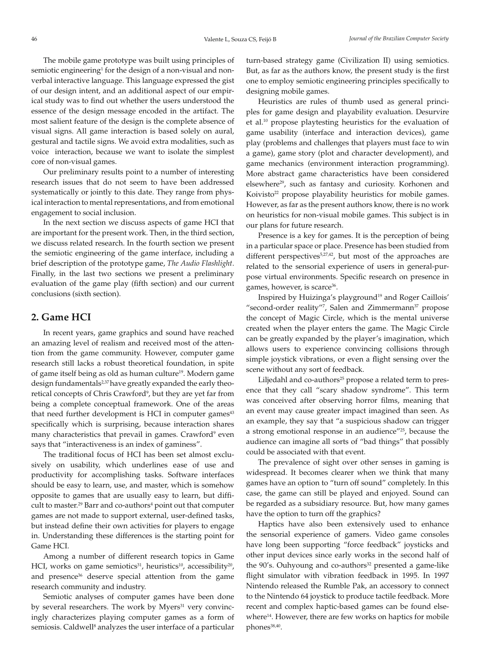The mobile game prototype was built using principles of semiotic engineering $^{\scriptscriptstyle 1}$  for the design of a non-visual and nonverbal interactive language. This language expressed the gist of our design intent, and an additional aspect of our empirical study was to find out whether the users understood the essence of the design message encoded in the artifact. The most salient feature of the design is the complete absence of visual signs. All game interaction is based solely on aural, gestural and tactile signs. We avoid extra modalities, such as voice interaction, because we want to isolate the simplest core of non-visual games.

Our preliminary results point to a number of interesting research issues that do not seem to have been addressed systematically or jointly to this date. They range from physical interaction to mental representations, and from emotional engagement to social inclusion.

In the next section we discuss aspects of game HCI that are important for the present work. Then, in the third section, we discuss related research. In the fourth section we present the semiotic engineering of the game interface, including a brief description of the prototype game, *The Audio Flashlight*. Finally, in the last two sections we present a preliminary evaluation of the game play (fifth section) and our current conclusions (sixth section).

## **2. Game HCI**

In recent years, game graphics and sound have reached an amazing level of realism and received most of the attention from the game community. However, computer game research still lacks a robust theoretical foundation, in spite of game itself being as old as human culture<sup>19</sup>. Modern game design fundamentals<sup>2,37</sup> have greatly expanded the early theoretical concepts of Chris Crawford<sup>9</sup>, but they are yet far from being a complete conceptual framework. One of the areas that need further development is HCI in computer games<sup>43</sup> specifically which is surprising, because interaction shares many characteristics that prevail in games. Crawford<sup>9</sup> even says that "interactiveness is an index of gaminess".

The traditional focus of HCI has been set almost exclusively on usability, which underlines ease of use and productivity for accomplishing tasks. Software interfaces should be easy to learn, use, and master, which is somehow opposite to games that are usually easy to learn, but difficult to master.<sup>29</sup> Barr and co-authors<sup>4</sup> point out that computer games are not made to support external, user-defined tasks, but instead define their own activities for players to engage in. Understanding these differences is the starting point for Game HCI.

Among a number of different research topics in Game HCI, works on game semiotics<sup>31</sup>, heuristics<sup>10</sup>, accessibility<sup>20</sup>, and presence<sup>36</sup> deserve special attention from the game research community and industry.

Semiotic analyses of computer games have been done by several researchers. The work by Myers<sup>31</sup> very convincingly characterizes playing computer games as a form of semiosis. Caldwell<sup>8</sup> analyzes the user interface of a particular turn-based strategy game (Civilization II) using semiotics. But, as far as the authors know, the present study is the first one to employ semiotic engineering principles specifically to designing mobile games.

Heuristics are rules of thumb used as general principles for game design and playability evaluation. Desurvire et al.<sup>10</sup> propose playtesting heuristics for the evaluation of game usability (interface and interaction devices), game play (problems and challenges that players must face to win a game), game story (plot and character development), and game mechanics (environment interaction programming). More abstract game characteristics have been considered elsewhere<sup>29</sup>, such as fantasy and curiosity. Korhonen and Koivisto<sup>22</sup> propose playability heuristics for mobile games. However, as far as the present authors know, there is no work on heuristics for non-visual mobile games. This subject is in our plans for future research.

Presence is a key for games. It is the perception of being in a particular space or place. Presence has been studied from different perspectives<sup>5,27,42</sup>, but most of the approaches are related to the sensorial experience of users in general-purpose virtual environments. Specific research on presence in games, however, is scarce<sup>36</sup>.

Inspired by Huizinga's playground<sup>19</sup> and Roger Caillois' "second-order reality"7, Salen and Zimmermann<sup>37</sup> propose the concept of Magic Circle, which is the mental universe created when the player enters the game. The Magic Circle can be greatly expanded by the player's imagination, which allows users to experience convincing collisions through simple joystick vibrations, or even a flight sensing over the scene without any sort of feedback.

Liljedahl and co-authors<sup>25</sup> propose a related term to presence that they call "scary shadow syndrome". This term was conceived after observing horror films, meaning that an event may cause greater impact imagined than seen. As an example, they say that "a suspicious shadow can trigger a strong emotional response in an audience"25, because the audience can imagine all sorts of "bad things" that possibly could be associated with that event.

The prevalence of sight over other senses in gaming is widespread. It becomes clearer when we think that many games have an option to "turn off sound" completely. In this case, the game can still be played and enjoyed. Sound can be regarded as a subsidiary resource. But, how many games have the option to turn off the graphics?

Haptics have also been extensively used to enhance the sensorial experience of gamers. Video game consoles have long been supporting "force feedback" joysticks and other input devices since early works in the second half of the 90's. Ouhyoung and co-authors<sup>32</sup> presented a game-like flight simulator with vibration feedback in 1995. In 1997 Nintendo released the Rumble Pak, an accessory to connect to the Nintendo 64 joystick to produce tactile feedback. More recent and complex haptic-based games can be found elsewhere<sup>14</sup>. However, there are few works on haptics for mobile phones<sup>38,40</sup>.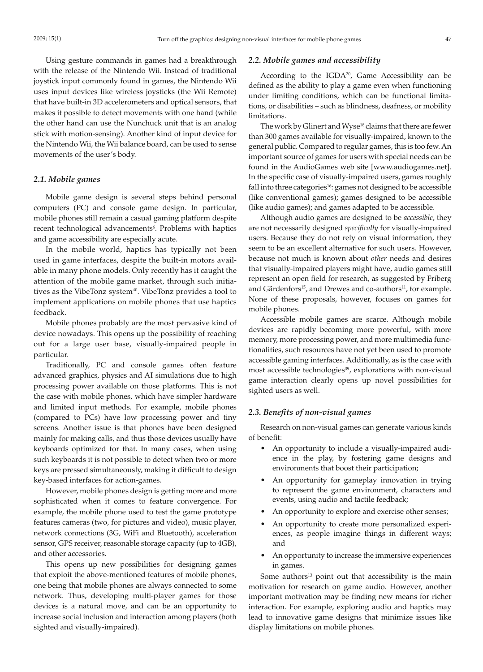Using gesture commands in games had a breakthrough with the release of the Nintendo Wii. Instead of traditional joystick input commonly found in games, the Nintendo Wii uses input devices like wireless joysticks (the Wii Remote) that have built-in 3D accelerometers and optical sensors, that makes it possible to detect movements with one hand (while the other hand can use the Nunchuck unit that is an analog stick with motion-sensing). Another kind of input device for the Nintendo Wii, the Wii balance board, can be used to sense movements of the user's body.

#### *2.1. Mobile games*

Mobile game design is several steps behind personal computers (PC) and console game design. In particular, mobile phones still remain a casual gaming platform despite recent technological advancements<sup>6</sup>. Problems with haptics and game accessibility are especially acute.

In the mobile world, haptics has typically not been used in game interfaces, despite the built-in motors available in many phone models. Only recently has it caught the attention of the mobile game market, through such initiatives as the VibeTonz system<sup>40</sup>. VibeTonz provides a tool to implement applications on mobile phones that use haptics feedback.

Mobile phones probably are the most pervasive kind of device nowadays. This opens up the possibility of reaching out for a large user base, visually-impaired people in particular.

Traditionally, PC and console games often feature advanced graphics, physics and AI simulations due to high processing power available on those platforms. This is not the case with mobile phones, which have simpler hardware and limited input methods. For example, mobile phones (compared to PCs) have low processing power and tiny screens. Another issue is that phones have been designed mainly for making calls, and thus those devices usually have keyboards optimized for that. In many cases, when using such keyboards it is not possible to detect when two or more keys are pressed simultaneously, making it difficult to design key-based interfaces for action-games.

However, mobile phones design is getting more and more sophisticated when it comes to feature convergence. For example, the mobile phone used to test the game prototype features cameras (two, for pictures and video), music player, network connections (3G, WiFi and Bluetooth), acceleration sensor, GPS receiver, reasonable storage capacity (up to 4GB), and other accessories.

This opens up new possibilities for designing games that exploit the above-mentioned features of mobile phones, one being that mobile phones are always connected to some network. Thus, developing multi-player games for those devices is a natural move, and can be an opportunity to increase social inclusion and interaction among players (both sighted and visually-impaired).

### *2.2. Mobile games and accessibility*

According to the  $IGDA<sup>20</sup>$ , Game Accessibility can be defined as the ability to play a game even when functioning under limiting conditions, which can be functional limitations, or disabilities – such as blindness, deafness, or mobility limitations.

The work by Glinert and Wyse<sup>18</sup> claims that there are fewer than 300 games available for visually-impaired, known to the general public. Compared to regular games, this is too few. An important source of games for users with special needs can be found in the AudioGames web site [www.audiogames.net]. In the specific case of visually-impaired users, games roughly fall into three categories<sup>16</sup>: games not designed to be accessible (like conventional games); games designed to be accessible (like audio games); and games adapted to be accessible.

Although audio games are designed to be *accessible*, they are not necessarily designed *specifically* for visually-impaired users. Because they do not rely on visual information, they seem to be an excellent alternative for such users. However, because not much is known about *other* needs and desires that visually-impaired players might have, audio games still represent an open field for research, as suggested by Friberg and Gärdenfors<sup>15</sup>, and Drewes and co-authors<sup>11</sup>, for example. None of these proposals, however, focuses on games for mobile phones.

Accessible mobile games are scarce. Although mobile devices are rapidly becoming more powerful, with more memory, more processing power, and more multimedia functionalities, such resources have not yet been used to promote accessible gaming interfaces. Additionally, as is the case with most accessible technologies<sup>39</sup>, explorations with non-visual game interaction clearly opens up novel possibilities for sighted users as well.

#### *2.3. Benefits of non-visual games*

Research on non-visual games can generate various kinds of benefit:

- An opportunity to include a visually-impaired audience in the play, by fostering game designs and environments that boost their participation;
- An opportunity for gameplay innovation in trying to represent the game environment, characters and events, using audio and tactile feedback;
- An opportunity to explore and exercise other senses;
- An opportunity to create more personalized experiences, as people imagine things in different ways; and
- An opportunity to increase the immersive experiences in games.

Some authors<sup>13</sup> point out that accessibility is the main motivation for research on game audio. However, another important motivation may be finding new means for richer interaction. For example, exploring audio and haptics may lead to innovative game designs that minimize issues like display limitations on mobile phones.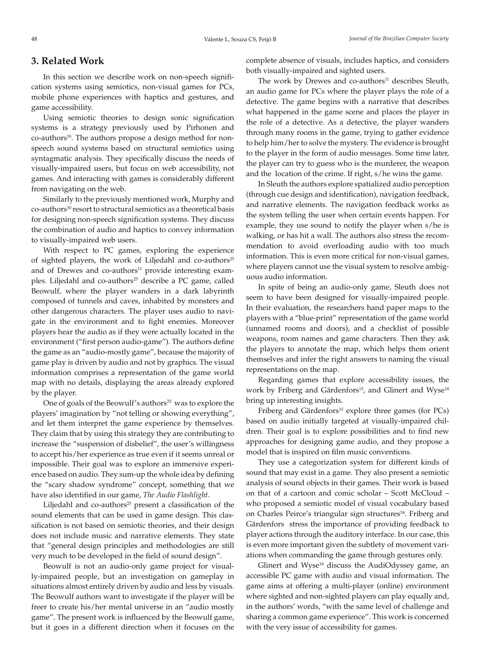In this section we describe work on non-speech signification systems using semiotics, non-visual games for PCs, mobile phone experiences with haptics and gestures, and game accessibility.

Using semiotic theories to design sonic signification systems is a strategy previously used by Pirhonen and co-authors<sup>35</sup>. The authors propose a design method for nonspeech sound systems based on structural semiotics using syntagmatic analysis. They specifically discuss the needs of visually-impaired users, but focus on web accessibility, not games. And interacting with games is considerably different from navigating on the web.

Similarly to the previously mentioned work, Murphy and co-authors<sup>30</sup> resort to structural semiotics as a theoretical basis for designing non-speech signification systems. They discuss the combination of audio and haptics to convey information to visually-impaired web users.

With respect to PC games, exploring the experience of sighted players, the work of Liljedahl and co-authors<sup>25</sup> and of Drewes and co-authors<sup>11</sup> provide interesting examples. Liljedahl and co-authors<sup>25</sup> describe a PC game, called Beowulf, where the player wanders in a dark labyrinth composed of tunnels and caves, inhabited by monsters and other dangerous characters. The player uses audio to navigate in the environment and to fight enemies. Moreover players hear the audio as if they were actually located in the environment ("first person audio-game"). The authors define the game as an "audio-mostly game", because the majority of game play is driven by audio and not by graphics. The visual information comprises a representation of the game world map with no details, displaying the areas already explored by the player.

One of goals of the Beowulf's authors<sup>25</sup> was to explore the players' imagination by "not telling or showing everything", and let them interpret the game experience by themselves. They claim that by using this strategy they are contributing to increase the "suspension of disbelief", the user's willingness to accept his/her experience as true even if it seems unreal or impossible. Their goal was to explore an immersive experience based on audio. They sum-up the whole idea by defining the "scary shadow syndrome" concept, something that we have also identified in our game, *The Audio Flashlight*.

Liljedahl and co-authors<sup>25</sup> present a classification of the sound elements that can be used in game design. This classification is not based on semiotic theories, and their design does not include music and narrative elements. They state that "general design principles and methodologies are still very much to be developed in the field of sound design".

Beowulf is not an audio-only game project for visually-impaired people, but an investigation on gameplay in situations almost entirely driven by audio and less by visuals. The Beowulf authors want to investigate if the player will be freer to create his/her mental universe in an "audio mostly game". The present work is influenced by the Beowulf game, but it goes in a different direction when it focuses on the complete absence of visuals, includes haptics, and considers both visually-impaired and sighted users.

The work by Drewes and co-authors<sup>11</sup> describes Sleuth, an audio game for PCs where the player plays the role of a detective. The game begins with a narrative that describes what happened in the game scene and places the player in the role of a detective. As a detective, the player wanders through many rooms in the game, trying to gather evidence to help him/her to solve the mystery. The evidence is brought to the player in the form of audio messages. Some time later, the player can try to guess who is the murderer, the weapon and the location of the crime. If right, s/he wins the game.

In Sleuth the authors explore spatialized audio perception (through cue design and identification), navigation feedback, and narrative elements. The navigation feedback works as the system telling the user when certain events happen. For example, they use sound to notify the player when s/he is walking, or has hit a wall. The authors also stress the recommendation to avoid overloading audio with too much information. This is even more critical for non-visual games, where players cannot use the visual system to resolve ambiguous audio information.

In spite of being an audio-only game, Sleuth does not seem to have been designed for visually-impaired people. In their evaluation, the researchers hand paper maps to the players with a "blue-print" representation of the game world (unnamed rooms and doors), and a checklist of possible weapons, room names and game characters. Then they ask the players to annotate the map, which helps them orient themselves and infer the right answers to naming the visual representations on the map.

Regarding games that explore accessibility issues, the work by Friberg and Gärdenfors<sup>15</sup>, and Glinert and Wyse<sup>18</sup> bring up interesting insights.

Friberg and Gärdenfors<sup>15</sup> explore three games (for PCs) based on audio initially targeted at visually-impaired children. Their goal is to explore possibilities and to find new approaches for designing game audio, and they propose a model that is inspired on film music conventions.

They use a categorization system for different kinds of sound that may exist in a game. They also present a semiotic analysis of sound objects in their games. Their work is based on that of a cartoon and comic scholar – Scott McCloud – who proposed a semiotic model of visual vocabulary based on Charles Peirce's triangular sign structures<sup>34</sup>. Friberg and Gärdenfors stress the importance of providing feedback to player actions through the auditory interface. In our case, this is even more important given the subtlety of movement variations when commanding the game through gestures only.

Glinert and Wyse<sup>18</sup> discuss the AudiOdyssey game, an accessible PC game with audio and visual information. The game aims at offering a multi-player (online) environment where sighted and non-sighted players can play equally and, in the authors' words, "with the same level of challenge and sharing a common game experience". This work is concerned with the very issue of accessibility for games.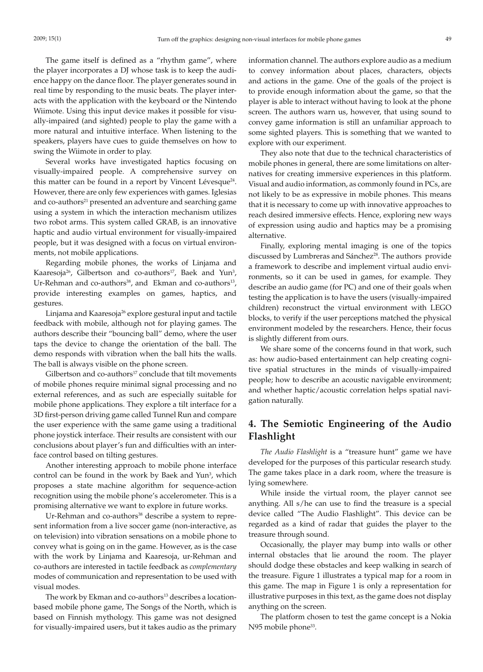The game itself is defined as a "rhythm game", where the player incorporates a DJ whose task is to keep the audience happy on the dance floor. The player generates sound in real time by responding to the music beats. The player interacts with the application with the keyboard or the Nintendo Wiimote. Using this input device makes it possible for visually-impaired (and sighted) people to play the game with a more natural and intuitive interface. When listening to the speakers, players have cues to guide themselves on how to swing the Wiimote in order to play.

Several works have investigated haptics focusing on visually-impaired people. A comprehensive survey on this matter can be found in a report by Vincent Lévesque<sup>24</sup>. However, there are only few experiences with games. Iglesias and co-authors<sup>21</sup> presented an adventure and searching game using a system in which the interaction mechanism utilizes two robot arms. This system called GRAB, is an innovative haptic and audio virtual environment for visually-impaired people, but it was designed with a focus on virtual environments, not mobile applications.

Regarding mobile phones, the works of Linjama and Kaaresoja<sup>26</sup>, Gilbertson and co-authors<sup>17</sup>, Baek and Yun<sup>3</sup>, Ur-Rehman and co-authors<sup>38</sup>, and Ekman and co-authors<sup>13</sup>, provide interesting examples on games, haptics, and gestures.

Linjama and Kaaresoja<sup>26</sup> explore gestural input and tactile feedback with mobile, although not for playing games. The authors describe their "bouncing ball" demo, where the user taps the device to change the orientation of the ball. The demo responds with vibration when the ball hits the walls. The ball is always visible on the phone screen.

Gilbertson and co-authors<sup>17</sup> conclude that tilt movements of mobile phones require minimal signal processing and no external references, and as such are especially suitable for mobile phone applications. They explore a tilt interface for a 3D first-person driving game called Tunnel Run and compare the user experience with the same game using a traditional phone joystick interface. Their results are consistent with our conclusions about player's fun and difficulties with an interface control based on tilting gestures.

Another interesting approach to mobile phone interface control can be found in the work by Baek and Yun<sup>3</sup>, which proposes a state machine algorithm for sequence-action recognition using the mobile phone's accelerometer. This is a promising alternative we want to explore in future works.

Ur-Rehman and co-authors<sup>38</sup> describe a system to represent information from a live soccer game (non-interactive, as on television) into vibration sensations on a mobile phone to convey what is going on in the game. However, as is the case with the work by Linjama and Kaaresoja, ur-Rehman and co-authors are interested in tactile feedback as *complementary* modes of communication and representation to be used with visual modes.

The work by Ekman and co-authors<sup>13</sup> describes a locationbased mobile phone game, The Songs of the North, which is based on Finnish mythology. This game was not designed for visually-impaired users, but it takes audio as the primary information channel. The authors explore audio as a medium to convey information about places, characters, objects and actions in the game. One of the goals of the project is to provide enough information about the game, so that the player is able to interact without having to look at the phone screen. The authors warn us, however, that using sound to convey game information is still an unfamiliar approach to some sighted players. This is something that we wanted to explore with our experiment.

They also note that due to the technical characteristics of mobile phones in general, there are some limitations on alternatives for creating immersive experiences in this platform. Visual and audio information, as commonly found in PCs, are not likely to be as expressive in mobile phones. This means that it is necessary to come up with innovative approaches to reach desired immersive effects. Hence, exploring new ways of expression using audio and haptics may be a promising alternative.

Finally, exploring mental imaging is one of the topics discussed by Lumbreras and Sánchez<sup>28</sup>. The authors provide a framework to describe and implement virtual audio environments, so it can be used in games, for example. They describe an audio game (for PC) and one of their goals when testing the application is to have the users (visually-impaired children) reconstruct the virtual environment with LEGO blocks, to verify if the user perceptions matched the physical environment modeled by the researchers. Hence, their focus is slightly different from ours.

We share some of the concerns found in that work, such as: how audio-based entertainment can help creating cognitive spatial structures in the minds of visually-impaired people; how to describe an acoustic navigable environment; and whether haptic/acoustic correlation helps spatial navigation naturally.

# **4. The Semiotic Engineering of the Audio Flashlight**

*The Audio Flashlight* is a "treasure hunt" game we have developed for the purposes of this particular research study. The game takes place in a dark room, where the treasure is lying somewhere.

While inside the virtual room, the player cannot see anything. All s/he can use to find the treasure is a special device called "The Audio Flashlight". This device can be regarded as a kind of radar that guides the player to the treasure through sound.

Occasionally, the player may bump into walls or other internal obstacles that lie around the room. The player should dodge these obstacles and keep walking in search of the treasure. Figure 1 illustrates a typical map for a room in this game. The map in Figure 1 is only a representation for illustrative purposes in this text, as the game does not display anything on the screen.

The platform chosen to test the game concept is a Nokia N95 mobile phone<sup>33</sup>.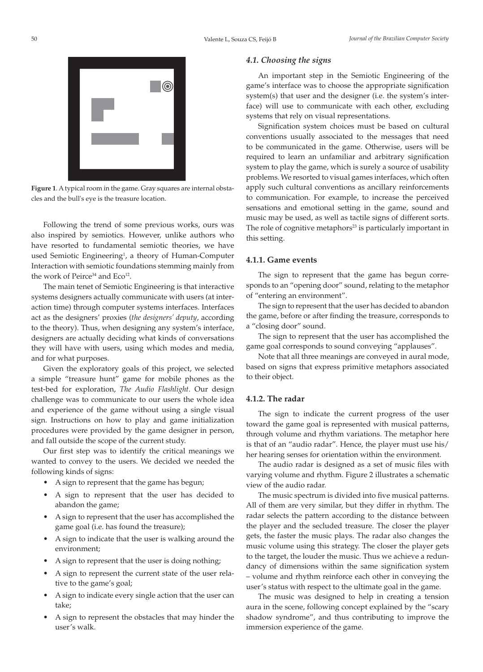

**Figure 1**. A typical room in the game. Gray squares are internal obstacles and the bull's eye is the treasure location.

Following the trend of some previous works, ours was also inspired by semiotics. However, unlike authors who have resorted to fundamental semiotic theories, we have used Semiotic Engineering<sup>1</sup>, a theory of Human-Computer Interaction with semiotic foundations stemming mainly from the work of Peirce<sup>34</sup> and Eco<sup>12</sup>.

The main tenet of Semiotic Engineering is that interactive systems designers actually communicate with users (at interaction time) through computer systems interfaces. Interfaces act as the designers' proxies (*the designers' deputy*, according to the theory). Thus, when designing any system's interface, designers are actually deciding what kinds of conversations they will have with users, using which modes and media, and for what purposes.

Given the exploratory goals of this project, we selected a simple "treasure hunt" game for mobile phones as the test-bed for exploration, *The Audio Flashlight*. Our design challenge was to communicate to our users the whole idea and experience of the game without using a single visual sign. Instructions on how to play and game initialization procedures were provided by the game designer in person, and fall outside the scope of the current study.

Our first step was to identify the critical meanings we wanted to convey to the users. We decided we needed the following kinds of signs:

- A sign to represent that the game has begun;
- A sign to represent that the user has decided to abandon the game;
- A sign to represent that the user has accomplished the game goal (i.e. has found the treasure);
- A sign to indicate that the user is walking around the environment;
- A sign to represent that the user is doing nothing.
- A sign to represent the current state of the user relative to the game's goal;
- A sign to indicate every single action that the user can take;
- A sign to represent the obstacles that may hinder the user's walk.

## *4.1. Choosing the signs*

An important step in the Semiotic Engineering of the game's interface was to choose the appropriate signification system(s) that user and the designer (i.e. the system's interface) will use to communicate with each other, excluding systems that rely on visual representations.

Signification system choices must be based on cultural conventions usually associated to the messages that need to be communicated in the game. Otherwise, users will be required to learn an unfamiliar and arbitrary signification system to play the game, which is surely a source of usability problems. We resorted to visual games interfaces, which often apply such cultural conventions as ancillary reinforcements to communication. For example, to increase the perceived sensations and emotional setting in the game, sound and music may be used, as well as tactile signs of different sorts. The role of cognitive metaphors $23$  is particularly important in this setting.

## **4.1.1. Game events**

The sign to represent that the game has begun corresponds to an "opening door" sound, relating to the metaphor of "entering an environment".

The sign to represent that the user has decided to abandon the game, before or after finding the treasure, corresponds to a "closing door" sound.

The sign to represent that the user has accomplished the game goal corresponds to sound conveying "applauses".

Note that all three meanings are conveyed in aural mode, based on signs that express primitive metaphors associated to their object.

## **4.1.2. The radar**

The sign to indicate the current progress of the user toward the game goal is represented with musical patterns, through volume and rhythm variations. The metaphor here is that of an "audio radar". Hence, the player must use his/ her hearing senses for orientation within the environment.

The audio radar is designed as a set of music files with varying volume and rhythm. Figure 2 illustrates a schematic view of the audio radar.

The music spectrum is divided into five musical patterns. All of them are very similar, but they differ in rhythm. The radar selects the pattern according to the distance between the player and the secluded treasure. The closer the player gets, the faster the music plays. The radar also changes the music volume using this strategy. The closer the player gets to the target, the louder the music. Thus we achieve a redundancy of dimensions within the same signification system – volume and rhythm reinforce each other in conveying the user's status with respect to the ultimate goal in the game.

The music was designed to help in creating a tension aura in the scene, following concept explained by the "scary shadow syndrome", and thus contributing to improve the immersion experience of the game.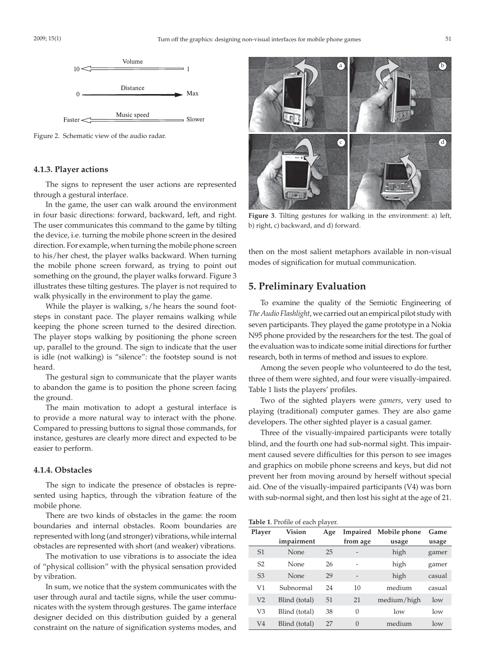

Figure 2. Schematic view of the audio radar.

#### **4.1.3. Player actions**

The signs to represent the user actions are represented through a gestural interface.

In the game, the user can walk around the environment in four basic directions: forward, backward, left, and right. The user communicates this command to the game by tilting the device, i.e. turning the mobile phone screen in the desired direction. For example, when turning the mobile phone screen to his/her chest, the player walks backward. When turning the mobile phone screen forward, as trying to point out something on the ground, the player walks forward. Figure 3 illustrates these tilting gestures. The player is not required to walk physically in the environment to play the game.

While the player is walking, s/he hears the sound footsteps in constant pace. The player remains walking while keeping the phone screen turned to the desired direction. The player stops walking by positioning the phone screen up, parallel to the ground. The sign to indicate that the user is idle (not walking) is "silence": the footstep sound is not heard.

The gestural sign to communicate that the player wants to abandon the game is to position the phone screen facing the ground.

The main motivation to adopt a gestural interface is to provide a more natural way to interact with the phone. Compared to pressing buttons to signal those commands, for instance, gestures are clearly more direct and expected to be easier to perform.

### **4.1.4. Obstacles**

The sign to indicate the presence of obstacles is represented using haptics, through the vibration feature of the mobile phone.

There are two kinds of obstacles in the game: the room boundaries and internal obstacles. Room boundaries are represented with long (and stronger) vibrations, while internal obstacles are represented with short (and weaker) vibrations.

The motivation to use vibrations is to associate the idea of "physical collision" with the physical sensation provided by vibration.

In sum, we notice that the system communicates with the user through aural and tactile signs, while the user communicates with the system through gestures. The game interface designer decided on this distribution guided by a general constraint on the nature of signification systems modes, and



**Figure 3**. Tilting gestures for walking in the environment: a) left, b) right, c) backward, and d) forward.

then on the most salient metaphors available in non-visual modes of signification for mutual communication.

## **5. Preliminary Evaluation**

To examine the quality of the Semiotic Engineering of *The Audio Flashlight*, we carried out an empirical pilot study with seven participants. They played the game prototype in a Nokia N95 phone provided by the researchers for the test. The goal of the evaluation was to indicate some initial directions for further research, both in terms of method and issues to explore.

Among the seven people who volunteered to do the test, three of them were sighted, and four were visually-impaired. Table 1 lists the players' profiles.

Two of the sighted players were *gamers*, very used to playing (traditional) computer games. They are also game developers. The other sighted player is a casual gamer.

Three of the visually-impaired participants were totally blind, and the fourth one had sub-normal sight. This impairment caused severe difficulties for this person to see images and graphics on mobile phone screens and keys, but did not prevent her from moving around by herself without special aid. One of the visually-impaired participants (V4) was born with sub-normal sight, and then lost his sight at the age of 21.

**Table 1**. Profile of each player.

| Player         | Vision        | Age | Impaired                 | Mobile phone | Game   |
|----------------|---------------|-----|--------------------------|--------------|--------|
|                | impairment    |     | from age                 | usage        | usage  |
| S <sub>1</sub> | None          | 25  |                          | high         | gamer  |
| S <sub>2</sub> | None          | 26  |                          | high         | gamer  |
| S <sub>3</sub> | None          | 29  | $\overline{\phantom{0}}$ | high         | casual |
| V1             | Subnormal     | 24  | 10                       | medium       | casual |
| V <sub>2</sub> | Blind (total) | 51  | 21                       | medium/high  | low    |
| V3             | Blind (total) | 38  | $\overline{0}$           | low          | low    |
| V <sub>4</sub> | Blind (total) | 27  | $\Omega$                 | medium       | low    |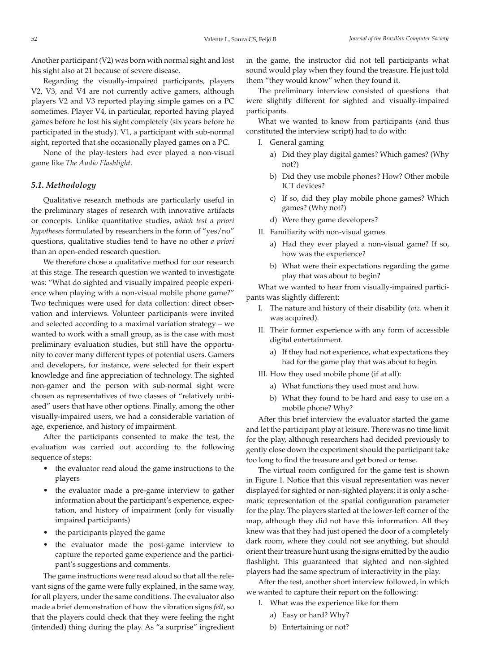Another participant (V2) was born with normal sight and lost his sight also at 21 because of severe disease.

Regarding the visually-impaired participants, players V2, V3, and V4 are not currently active gamers, although players V2 and V3 reported playing simple games on a PC sometimes. Player V4, in particular, reported having played games before he lost his sight completely (six years before he participated in the study). V1, a participant with sub-normal sight, reported that she occasionally played games on a PC.

None of the play-testers had ever played a non-visual game like *The Audio Flashlight*.

## *5.1. Methodology*

Qualitative research methods are particularly useful in the preliminary stages of research with innovative artifacts or concepts. Unlike quantitative studies, *which test a priori hypotheses* formulated by researchers in the form of "yes/no" questions, qualitative studies tend to have no other *a priori* than an open-ended research question.

We therefore chose a qualitative method for our research at this stage. The research question we wanted to investigate was: "What do sighted and visually impaired people experience when playing with a non-visual mobile phone game?" Two techniques were used for data collection: direct observation and interviews. Volunteer participants were invited and selected according to a maximal variation strategy – we wanted to work with a small group, as is the case with most preliminary evaluation studies, but still have the opportunity to cover many different types of potential users. Gamers and developers, for instance, were selected for their expert knowledge and fine appreciation of technology. The sighted non-gamer and the person with sub-normal sight were chosen as representatives of two classes of "relatively unbiased" users that have other options. Finally, among the other visually-impaired users, we had a considerable variation of age, experience, and history of impairment.

After the participants consented to make the test, the evaluation was carried out according to the following sequence of steps:

- the evaluator read aloud the game instructions to the players
- the evaluator made a pre-game interview to gather information about the participant's experience, expectation, and history of impairment (only for visually impaired participants)
- the participants played the game
- the evaluator made the post-game interview to capture the reported game experience and the participant's suggestions and comments.

The game instructions were read aloud so that all the relevant signs of the game were fully explained, in the same way, for all players, under the same conditions. The evaluator also made a brief demonstration of how the vibration signs *felt*, so that the players could check that they were feeling the right (intended) thing during the play. As "a surprise" ingredient in the game, the instructor did not tell participants what sound would play when they found the treasure. He just told them "they would know" when they found it.

The preliminary interview consisted of questions that were slightly different for sighted and visually-impaired participants.

What we wanted to know from participants (and thus constituted the interview script) had to do with:

- I. General gaming
	- a) Did they play digital games? Which games? (Why not?)
	- b) Did they use mobile phones? How? Other mobile ICT devices?
	- c) If so, did they play mobile phone games? Which games? (Why not?)
	- d) Were they game developers?
- II. Familiarity with non-visual games
	- a) Had they ever played a non-visual game? If so, how was the experience?
	- b) What were their expectations regarding the game play that was about to begin?

What we wanted to hear from visually-impaired participants was slightly different:

- I. The nature and history of their disability (*viz*. when it was acquired).
- II. Their former experience with any form of accessible digital entertainment.
	- a) If they had not experience, what expectations they had for the game play that was about to begin.
- III. How they used mobile phone (if at all):
	- a) What functions they used most and how.
	- b) What they found to be hard and easy to use on a mobile phone? Why?

After this brief interview the evaluator started the game and let the participant play at leisure. There was no time limit for the play, although researchers had decided previously to gently close down the experiment should the participant take too long to find the treasure and get bored or tense.

The virtual room configured for the game test is shown in Figure 1. Notice that this visual representation was never displayed for sighted or non-sighted players; it is only a schematic representation of the spatial configuration parameter for the play. The players started at the lower-left corner of the map, although they did not have this information. All they knew was that they had just opened the door of a completely dark room, where they could not see anything, but should orient their treasure hunt using the signs emitted by the audio flashlight. This guaranteed that sighted and non-sighted players had the same spectrum of interactivity in the play.

After the test, another short interview followed, in which we wanted to capture their report on the following:

- I. What was the experience like for them
	- a) Easy or hard? Why?
	- b) Entertaining or not?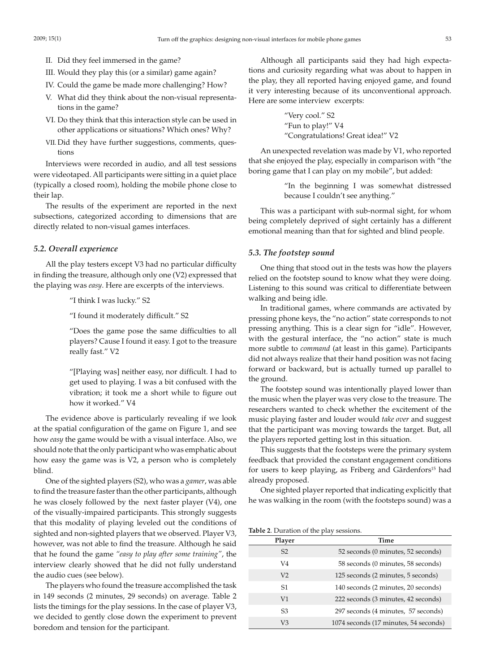- II. Did they feel immersed in the game?
- III. Would they play this (or a similar) game again?
- IV. Could the game be made more challenging? How?
- V. What did they think about the non-visual representations in the game?
- VI. Do they think that this interaction style can be used in other applications or situations? Which ones? Why?
- VII. Did they have further suggestions, comments, questions

Interviews were recorded in audio, and all test sessions were videotaped. All participants were sitting in a quiet place (typically a closed room), holding the mobile phone close to their lap.

The results of the experiment are reported in the next subsections, categorized according to dimensions that are directly related to non-visual games interfaces.

#### *5.2. Overall experience*

All the play testers except V3 had no particular difficulty in finding the treasure, although only one (V2) expressed that the playing was *easy*. Here are excerpts of the interviews.

"I think I was lucky." S2

"I found it moderately difficult." S2

"Does the game pose the same difficulties to all players? Cause I found it easy. I got to the treasure really fast." V2

"[Playing was] neither easy, nor difficult. I had to get used to playing. I was a bit confused with the vibration; it took me a short while to figure out how it worked." V4

The evidence above is particularly revealing if we look at the spatial configuration of the game on Figure 1, and see how *easy* the game would be with a visual interface. Also, we should note that the only participant who was emphatic about how easy the game was is V2, a person who is completely blind.

One of the sighted players (S2), who was a *gamer*, was able to find the treasure faster than the other participants, although he was closely followed by the next faster player (V4), one of the visually-impaired participants. This strongly suggests that this modality of playing leveled out the conditions of sighted and non-sighted players that we observed. Player V3, however, was not able to find the treasure. Although he said that he found the game *"easy to play after some training"*, the interview clearly showed that he did not fully understand the audio cues (see below).

The players who found the treasure accomplished the task in 149 seconds (2 minutes, 29 seconds) on average. Table 2 lists the timings for the play sessions. In the case of player V3, we decided to gently close down the experiment to prevent boredom and tension for the participant.

Although all participants said they had high expectations and curiosity regarding what was about to happen in the play, they all reported having enjoyed game, and found it very interesting because of its unconventional approach. Here are some interview excerpts:

> "Very cool." S2 "Fun to play!" V4 "Congratulations! Great idea!" V2

An unexpected revelation was made by V1, who reported that she enjoyed the play, especially in comparison with "the boring game that I can play on my mobile", but added:

> "In the beginning I was somewhat distressed because I couldn't see anything."

This was a participant with sub-normal sight, for whom being completely deprived of sight certainly has a different emotional meaning than that for sighted and blind people.

#### *5.3. The footstep sound*

One thing that stood out in the tests was how the players relied on the footstep sound to know what they were doing. Listening to this sound was critical to differentiate between walking and being idle.

In traditional games, where commands are activated by pressing phone keys, the "no action" state corresponds to not pressing anything. This is a clear sign for "idle". However, with the gestural interface, the "no action" state is much more subtle to *command* (at least in this game). Participants did not always realize that their hand position was not facing forward or backward, but is actually turned up parallel to the ground.

The footstep sound was intentionally played lower than the music when the player was very close to the treasure. The researchers wanted to check whether the excitement of the music playing faster and louder would *take over* and suggest that the participant was moving towards the target. But, all the players reported getting lost in this situation.

This suggests that the footsteps were the primary system feedback that provided the constant engagement conditions for users to keep playing, as Friberg and Gärdenfors<sup>15</sup> had already proposed.

One sighted player reported that indicating explicitly that he was walking in the room (with the footsteps sound) was a

**Table 2**. Duration of the play sessions.

| Player         | Time                                  |
|----------------|---------------------------------------|
| S <sub>2</sub> | 52 seconds (0 minutes, 52 seconds)    |
| V4             | 58 seconds (0 minutes, 58 seconds)    |
| V <sub>2</sub> | 125 seconds (2 minutes, 5 seconds)    |
| S1             | 140 seconds (2 minutes, 20 seconds)   |
| V <sub>1</sub> | 222 seconds (3 minutes, 42 seconds)   |
| S <sub>3</sub> | 297 seconds (4 minutes, 57 seconds)   |
| V3             | 1074 seconds (17 minutes, 54 seconds) |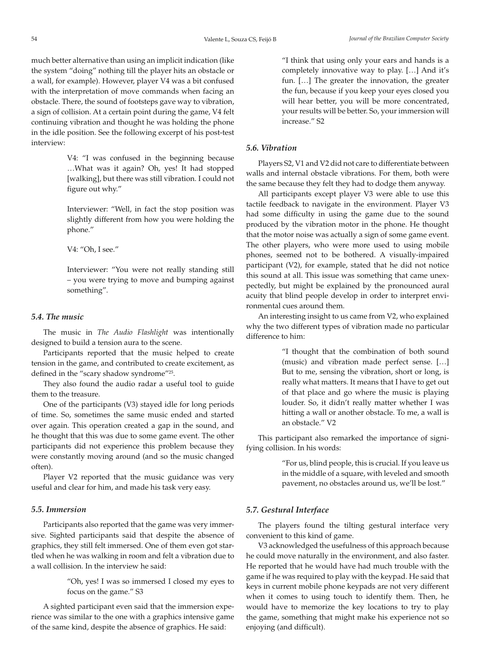much better alternative than using an implicit indication (like the system "doing" nothing till the player hits an obstacle or a wall, for example). However, player V4 was a bit confused with the interpretation of move commands when facing an obstacle. There, the sound of footsteps gave way to vibration, a sign of collision. At a certain point during the game, V4 felt continuing vibration and thought he was holding the phone in the idle position. See the following excerpt of his post-test interview:

> V4: "I was confused in the beginning because …What was it again? Oh, yes! It had stopped [walking], but there was still vibration. I could not figure out why."

> Interviewer: "Well, in fact the stop position was slightly different from how you were holding the phone."

V4: "Oh, I see."

Interviewer: "You were not really standing still – you were trying to move and bumping against something".

## *5.4. The music*

The music in *The Audio Flashlight* was intentionally designed to build a tension aura to the scene.

Participants reported that the music helped to create tension in the game, and contributed to create excitement, as defined in the "scary shadow syndrome"25.

They also found the audio radar a useful tool to guide them to the treasure.

One of the participants (V3) stayed idle for long periods of time. So, sometimes the same music ended and started over again. This operation created a gap in the sound, and he thought that this was due to some game event. The other participants did not experience this problem because they were constantly moving around (and so the music changed often).

Player V2 reported that the music guidance was very useful and clear for him, and made his task very easy.

#### *5.5. Immersion*

Participants also reported that the game was very immersive. Sighted participants said that despite the absence of graphics, they still felt immersed. One of them even got startled when he was walking in room and felt a vibration due to a wall collision. In the interview he said:

> "Oh, yes! I was so immersed I closed my eyes to focus on the game." S3

A sighted participant even said that the immersion experience was similar to the one with a graphics intensive game of the same kind, despite the absence of graphics. He said:

"I think that using only your ears and hands is a completely innovative way to play. […] And it's fun. […] The greater the innovation, the greater the fun, because if you keep your eyes closed you will hear better, you will be more concentrated, your results will be better. So, your immersion will increase." S2

## *5.6. Vibration*

Players S2, V1 and V2 did not care to differentiate between walls and internal obstacle vibrations. For them, both were the same because they felt they had to dodge them anyway.

All participants except player V3 were able to use this tactile feedback to navigate in the environment. Player V3 had some difficulty in using the game due to the sound produced by the vibration motor in the phone. He thought that the motor noise was actually a sign of some game event. The other players, who were more used to using mobile phones, seemed not to be bothered. A visually-impaired participant (V2), for example, stated that he did not notice this sound at all. This issue was something that came unexpectedly, but might be explained by the pronounced aural acuity that blind people develop in order to interpret environmental cues around them.

An interesting insight to us came from V2, who explained why the two different types of vibration made no particular difference to him:

> "I thought that the combination of both sound (music) and vibration made perfect sense. […] But to me, sensing the vibration, short or long, is really what matters. It means that I have to get out of that place and go where the music is playing louder. So, it didn't really matter whether I was hitting a wall or another obstacle. To me, a wall is an obstacle." V2

This participant also remarked the importance of signifying collision. In his words:

> "For us, blind people, this is crucial. If you leave us in the middle of a square, with leveled and smooth pavement, no obstacles around us, we'll be lost."

#### *5.7. Gestural Interface*

The players found the tilting gestural interface very convenient to this kind of game.

V3 acknowledged the usefulness of this approach because he could move naturally in the environment, and also faster. He reported that he would have had much trouble with the game if he was required to play with the keypad. He said that keys in current mobile phone keypads are not very different when it comes to using touch to identify them. Then, he would have to memorize the key locations to try to play the game, something that might make his experience not so enjoying (and difficult).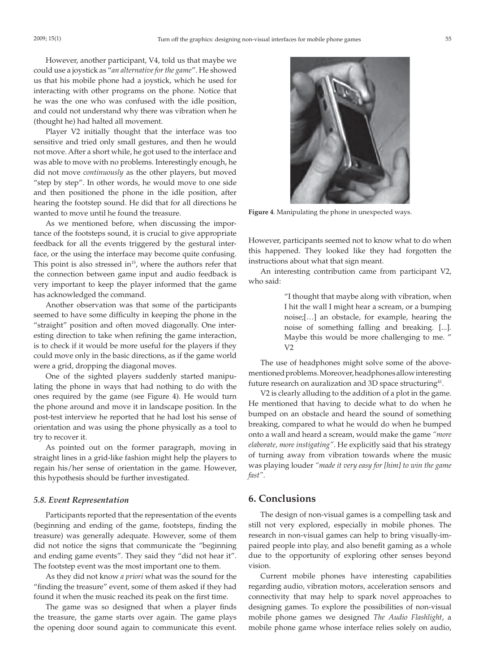However, another participant, V4, told us that maybe we could use a joystick as "*an alternative for the game*". He showed us that his mobile phone had a joystick, which he used for interacting with other programs on the phone. Notice that he was the one who was confused with the idle position, and could not understand why there was vibration when he (thought he) had halted all movement.

Player V2 initially thought that the interface was too sensitive and tried only small gestures, and then he would not move. After a short while, he got used to the interface and was able to move with no problems. Interestingly enough, he did not move *continuously* as the other players, but moved "step by step". In other words, he would move to one side and then positioned the phone in the idle position, after hearing the footstep sound. He did that for all directions he wanted to move until he found the treasure.

As we mentioned before, when discussing the importance of the footsteps sound, it is crucial to give appropriate feedback for all the events triggered by the gestural interface, or the using the interface may become quite confusing. This point is also stressed in $15$ , where the authors refer that the connection between game input and audio feedback is very important to keep the player informed that the game has acknowledged the command.

Another observation was that some of the participants seemed to have some difficulty in keeping the phone in the "straight" position and often moved diagonally. One interesting direction to take when refining the game interaction, is to check if it would be more useful for the players if they could move only in the basic directions, as if the game world were a grid, dropping the diagonal moves.

One of the sighted players suddenly started manipulating the phone in ways that had nothing to do with the ones required by the game (see Figure 4). He would turn the phone around and move it in landscape position. In the post-test interview he reported that he had lost his sense of orientation and was using the phone physically as a tool to try to recover it.

As pointed out on the former paragraph, moving in straight lines in a grid-like fashion might help the players to regain his/her sense of orientation in the game. However, this hypothesis should be further investigated.

#### *5.8. Event Representation*

Participants reported that the representation of the events (beginning and ending of the game, footsteps, finding the treasure) was generally adequate. However, some of them did not notice the signs that communicate the "beginning and ending game events". They said they "did not hear it". The footstep event was the most important one to them.

As they did not know *a priori* what was the sound for the "finding the treasure" event, some of them asked if they had found it when the music reached its peak on the first time.

The game was so designed that when a player finds the treasure, the game starts over again. The game plays the opening door sound again to communicate this event.



**Figure 4**. Manipulating the phone in unexpected ways.

However, participants seemed not to know what to do when this happened. They looked like they had forgotten the instructions about what that sign meant.

An interesting contribution came from participant V2, who said:

> "I thought that maybe along with vibration, when I hit the wall I might hear a scream, or a bumping noise;[…] an obstacle, for example, hearing the noise of something falling and breaking. [...]. Maybe this would be more challenging to me. " V2

The use of headphones might solve some of the abovementioned problems. Moreover, headphones allow interesting future research on auralization and 3D space structuring<sup>41</sup>.

V2 is clearly alluding to the addition of a plot in the game. He mentioned that having to decide what to do when he bumped on an obstacle and heard the sound of something breaking, compared to what he would do when he bumped onto a wall and heard a scream, would make the game *"more elaborate, more instigating"*. He explicitly said that his strategy of turning away from vibration towards where the music was playing louder *"made it very easy for [him] to win the game fast"*.

## **6. Conclusions**

The design of non-visual games is a compelling task and still not very explored, especially in mobile phones. The research in non-visual games can help to bring visually-impaired people into play, and also benefit gaming as a whole due to the opportunity of exploring other senses beyond vision.

Current mobile phones have interesting capabilities regarding audio, vibration motors, acceleration sensors and connectivity that may help to spark novel approaches to designing games. To explore the possibilities of non-visual mobile phone games we designed *The Audio Flashlight*, a mobile phone game whose interface relies solely on audio,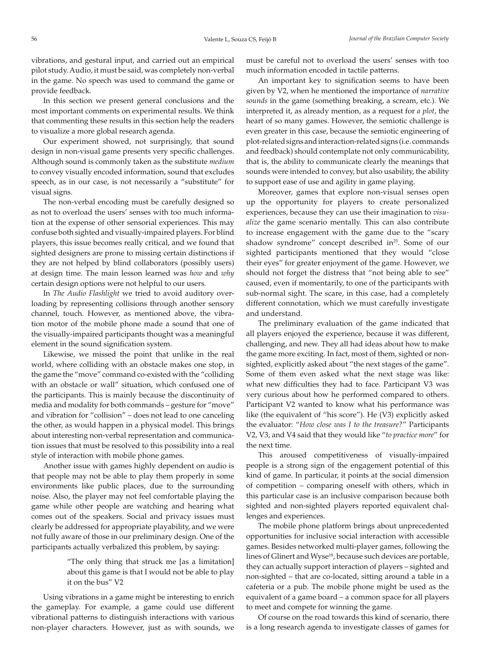vibrations, and gestural input, and carried out an empirical pilot study. Audio, it must be said, was completely non-verbal in the game. No speech was used to command the game or provide feedback.

In this section we present general conclusions and the most important comments on experimental results. We think that commenting these results in this section help the readers to visualize a more global research agenda.

Our experiment showed, not surprisingly, that sound design in non-visual game presents very specific challenges. Although sound is commonly taken as the substitute *medium* to convey visually encoded information, sound that excludes speech, as in our case, is not necessarily a "substitute" for visual signs.

The non-verbal encoding must be carefully designed so as not to overload the users' senses with too much information at the expense of other sensorial experiences. This may confuse both sighted and visually-impaired players. For blind players, this issue becomes really critical, and we found that sighted designers are prone to missing certain distinctions if they are not helped by blind collaborators (possibly users) at design time. The main lesson learned was *how* and *why* certain design options were not helpful to our users.

In *The Audio Flashlight* we tried to avoid auditory overloading by representing collisions through another sensory channel, touch. However, as mentioned above, the vibration motor of the mobile phone made a sound that one of the visually-impaired participants thought was a meaningful element in the sound signification system.

Likewise, we missed the point that unlike in the real world, where colliding with an obstacle makes one stop, in the game the "move" command co-existed with the "colliding with an obstacle or wall" situation, which confused one of the participants. This is mainly because the discontinuity of media and modality for both commands – gesture for "move" and vibration for "collision" – does not lead to one canceling the other, as would happen in a physical model. This brings about interesting non-verbal representation and communication issues that must be resolved to this possibility into a real style of interaction with mobile phone games.

Another issue with games highly dependent on audio is that people may not be able to play them properly in some environments like public places, due to the surrounding noise. Also, the player may not feel comfortable playing the game while other people are watching and hearing what comes out of the speakers. Social and privacy issues must clearly be addressed for appropriate playability, and we were not fully aware of those in our preliminary design. One of the participants actually verbalized this problem, by saying:

> "The only thing that struck me [as a limitation] about this game is that I would not be able to play it on the bus" V2

Using vibrations in a game might be interesting to enrich the gameplay. For example, a game could use different vibrational patterns to distinguish interactions with various non-player characters. However, just as with sounds, we must be careful not to overload the users' senses with too much information encoded in tactile patterns.

An important key to signification seems to have been given by V2, when he mentioned the importance of *narrative sounds* in the game (something breaking, a scream, etc.). We interpreted it, as already mention, as a request for *a plot*, the heart of so many games. However, the semiotic challenge is even greater in this case, because the semiotic engineering of plot-related signs and interaction-related signs (i.e. commands and feedback) should contemplate not only communicability, that is, the ability to communicate clearly the meanings that sounds were intended to convey, but also usability, the ability to support ease of use and agility in game playing.

Moreover, games that explore non-visual senses open up the opportunity for players to create personalized experiences, because they can use their imagination to *visualize* the game scenario mentally. This can also contribute to increase engagement with the game due to the "scary shadow syndrome" concept described in<sup>25</sup>. Some of our sighted participants mentioned that they would "close their eyes" for greater enjoyment of the game. However, we should not forget the distress that "not being able to see" caused, even if momentarily, to one of the participants with sub-normal sight. The scare, in this case, had a completely different connotation, which we must carefully investigate and understand.

The preliminary evaluation of the game indicated that all players enjoyed the experience, because it was different, challenging, and new. They all had ideas about how to make the game more exciting. In fact, most of them, sighted or nonsighted, explicitly asked about "the next stages of the game". Some of them even asked what the next stage was like: what new difficulties they had to face. Participant V3 was very curious about how he performed compared to others. Participant V2 wanted to know what his performance was like (the equivalent of "his score"). He (V3) explicitly asked the evaluator: "*How close was I to the treasure?*" Participants V2, V3, and V4 said that they would like "*to practice more*" for the next time.

This aroused competitiveness of visually-impaired people is a strong sign of the engagement potential of this kind of game. In particular, it points at the social dimension of competition – comparing oneself with others, which in this particular case is an inclusive comparison because both sighted and non-sighted players reported equivalent challenges and experiences.

The mobile phone platform brings about unprecedented opportunities for inclusive social interaction with accessible games. Besides networked multi-player games, following the lines of Glinert and Wyse<sup>18</sup>, because such devices are portable, they can actually support interaction of players – sighted and non-sighted – that are co-located, sitting around a table in a cafeteria or a pub. The mobile phone might be used as the equivalent of a game board – a common space for all players to meet and compete for winning the game.

Of course on the road towards this kind of scenario, there is a long research agenda to investigate classes of games for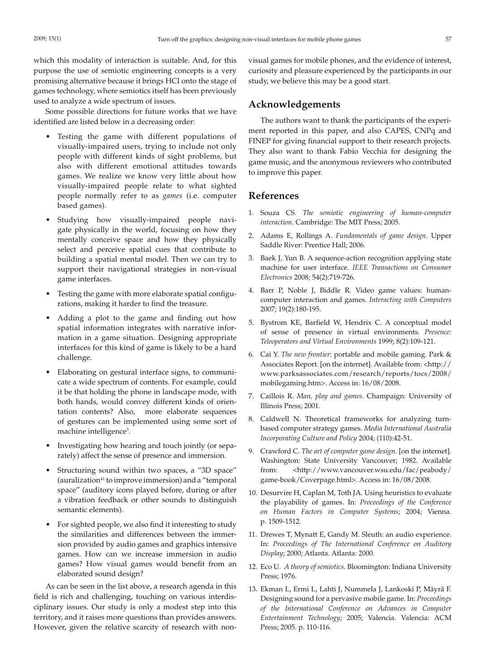which this modality of interaction is suitable. And, for this purpose the use of semiotic engineering concepts is a very promising alternative because it brings HCI onto the stage of games technology, where semiotics itself has been previously used to analyze a wide spectrum of issues.

Some possible directions for future works that we have identified are listed below in a decreasing order:

- Testing the game with different populations of visually-impaired users, trying to include not only people with different kinds of sight problems, but also with different emotional attitudes towards games. We realize we know very little about how visually-impaired people relate to what sighted people normally refer to as *games* (i.e. computer based games).
- Studying how visually-impaired people navigate physically in the world, focusing on how they mentally conceive space and how they physically select and perceive spatial cues that contribute to building a spatial mental model. Then we can try to support their navigational strategies in non-visual game interfaces.
- Testing the game with more elaborate spatial configurations, making it harder to find the treasure.
- Adding a plot to the game and finding out how spatial information integrates with narrative information in a game situation. Designing appropriate interfaces for this kind of game is likely to be a hard challenge.
- Elaborating on gestural interface signs, to communicate a wide spectrum of contents. For example, could it be that holding the phone in landscape mode, with both hands, would convey different kinds of orientation contents? Also, more elaborate sequences of gestures can be implemented using some sort of machine intelligence<sup>3</sup>.
- Investigating how hearing and touch jointly (or separately) affect the sense of presence and immersion.
- Structuring sound within two spaces, a "3D space" (auralization $41$  to improve immersion) and a "temporal space" (auditory icons played before, during or after a vibration feedback or other sounds to distinguish semantic elements).
- For sighted people, we also find it interesting to study the similarities and differences between the immersion provided by audio games and graphics intensive games. How can we increase immersion in audio games? How visual games would benefit from an elaborated sound design?

As can be seen in the list above, a research agenda in this field is rich and challenging, touching on various interdisciplinary issues. Our study is only a modest step into this territory, and it raises more questions than provides answers. However, given the relative scarcity of research with nonvisual games for mobile phones, and the evidence of interest, curiosity and pleasure experienced by the participants in our study, we believe this may be a good start.

## **Acknowledgements**

The authors want to thank the participants of the experiment reported in this paper, and also CAPES, CNPq and FINEP for giving financial support to their research projects. They also want to thank Fabio Vecchia for designing the game music, and the anonymous reviewers who contributed to improve this paper.

## **References**

- 1. Souza CS. *The semiotic engineering of human-computer interaction*. Cambridge: The MIT Press; 2005.
- 2. Adams E, Rollings A. *Fundamentals of game design.* Upper Saddle River: Prentice Hall; 2006.
- 3. Baek J, Yun B. A sequence-action recognition applying state machine for user interface. *IEEE Transactions on Consumer Electronics* 2008; 54(2):719-726.
- 4. Barr P, Noble J, Biddle R. Video game values: humancomputer interaction and games. *Interacting with Computers*  2007; 19(2):180-195.
- 5. Bystrom KE, Barfield W, Hendrix C. A conceptual model of sense of presence in virtual environments. *Presence: Teleoperators and Virtual Environments* 1999; 8(2):109-121.
- 6. Cai Y. *The new frontier*: portable and mobile gaming. Park & Associates Report. [on the internet]. Available from: <http:// www.parksassociates.com/research/reports/tocs/2008/ mobilegaming.htm>. Access in: 16/08/2008.
- 7. Caillois R. *Man, play and games*. Champaign: University of Illinois Press; 2001.
- 8. Caldwell N. Theoretical frameworks for analyzing turnbased computer strategy games. *Media International Australia Incorporating Culture and Policy* 2004; (110):42-51.
- 9. Crawford C. *The art of computer game design*. [on the internet]. Washington: State University Vancouver; 1982. Available from: <http://www.vancouver.wsu.edu/fac/peabody/ game-book/Coverpage.html>. Access in: 16/08/2008.
- 10. Desurvire H, Caplan M, Toth JA. Using heuristics to evaluate the playability of games. In: *Proceedings of the Conference on Human Factors in Computer Systems*; 2004; Vienna. p. 1509-1512.
- 11. Drewes T, Mynatt E, Gandy M. Sleuth: an audio experience. In: *Proceedings of The International Conference on Auditory Display*; 2000; Atlanta. Atlanta: 2000.
- 12. Eco U. *A theory of semiotics*. Bloomington: Indiana University Press; 1976.
- 13. Ekman L, Ermi L, Lahti J, Nummela J, Lankoski P, Mäyrä F. Designing sound for a pervasive mobile game. In: *Proceedings of the International Conference on Advances in Computer Entertainment Technology*; 2005; Valencia. Valencia: ACM Press; 2005. p. 110-116.